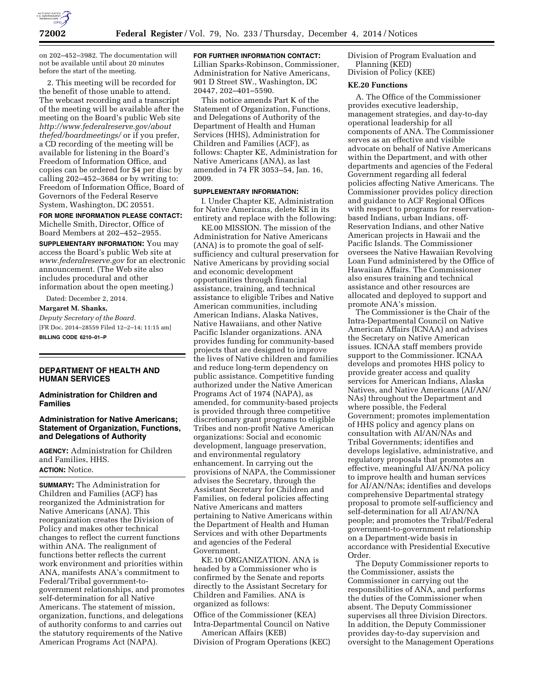

on 202–452–3982. The documentation will not be available until about 20 minutes before the start of the meeting.

2. This meeting will be recorded for the benefit of those unable to attend. The webcast recording and a transcript of the meeting will be available after the meeting on the Board's public Web site *[http://www.federalreserve.gov/about](http://www.federalreserve.gov/aboutthefed/boardmeetings/) [thefed/boardmeetings/](http://www.federalreserve.gov/aboutthefed/boardmeetings/)* or if you prefer, a CD recording of the meeting will be available for listening in the Board's Freedom of Information Office, and copies can be ordered for \$4 per disc by calling 202–452–3684 or by writing to: Freedom of Information Office, Board of Governors of the Federal Reserve System, Washington, DC 20551.

**FOR MORE INFORMATION PLEASE CONTACT:**  Michelle Smith, Director, Office of Board Members at 202–452–2955.

**SUPPLEMENTARY INFORMATION:** You may access the Board's public Web site at *[www.federalreserve.gov](http://www.federalreserve.gov)* for an electronic announcement. (The Web site also includes procedural and other information about the open meeting.)

Dated: December 2, 2014.

**Margaret M. Shanks,** 

*Deputy Secretary of the Board.*  [FR Doc. 2014–28559 Filed 12–2–14; 11:15 am] **BILLING CODE 6210–01–P** 

# **DEPARTMENT OF HEALTH AND HUMAN SERVICES**

**Administration for Children and Families** 

### **Administration for Native Americans; Statement of Organization, Functions, and Delegations of Authority**

**AGENCY:** Administration for Children and Families, HHS. **ACTION:** Notice.

**SUMMARY:** The Administration for Children and Families (ACF) has reorganized the Administration for Native Americans (ANA). This reorganization creates the Division of Policy and makes other technical changes to reflect the current functions within ANA. The realignment of functions better reflects the current work environment and priorities within ANA, manifests ANA's commitment to Federal/Tribal government-togovernment relationships, and promotes self-determination for all Native Americans. The statement of mission, organization, functions, and delegations of authority conforms to and carries out the statutory requirements of the Native American Programs Act (NAPA).

**FOR FURTHER INFORMATION CONTACT:** 

Lillian Sparks-Robinson, Commissioner, Administration for Native Americans, 901 D Street SW., Washington, DC 20447, 202–401–5590.

This notice amends Part K of the Statement of Organization, Functions, and Delegations of Authority of the Department of Health and Human Services (HHS), Administration for Children and Families (ACF), as follows: Chapter KE, Administration for Native Americans (ANA), as last amended in 74 FR 3053–54, Jan. 16, 2009.

# **SUPPLEMENTARY INFORMATION:**

I. Under Chapter KE, Administration for Native Americans, delete KE in its entirety and replace with the following:

KE.00 MISSION. The mission of the Administration for Native Americans (ANA) is to promote the goal of selfsufficiency and cultural preservation for Native Americans by providing social and economic development opportunities through financial assistance, training, and technical assistance to eligible Tribes and Native American communities, including American Indians, Alaska Natives, Native Hawaiians, and other Native Pacific Islander organizations. ANA provides funding for community-based projects that are designed to improve the lives of Native children and families and reduce long-term dependency on public assistance. Competitive funding authorized under the Native American Programs Act of 1974 (NAPA), as amended, for community-based projects is provided through three competitive discretionary grant programs to eligible Tribes and non-profit Native American organizations: Social and economic development, language preservation, and environmental regulatory enhancement. In carrying out the provisions of NAPA, the Commissioner advises the Secretary, through the Assistant Secretary for Children and Families, on federal policies affecting Native Americans and matters pertaining to Native Americans within the Department of Health and Human Services and with other Departments and agencies of the Federal Government.

KE.10 ORGANIZATION. ANA is headed by a Commissioner who is confirmed by the Senate and reports directly to the Assistant Secretary for Children and Families. ANA is organized as follows:

Office of the Commissioner (KEA) Intra-Departmental Council on Native

American Affairs (KEB) Division of Program Operations (KEC) Division of Program Evaluation and Planning (KED) Division of Policy (KEE)

### **KE.20 Functions**

A. The Office of the Commissioner provides executive leadership, management strategies, and day-to-day operational leadership for all components of ANA. The Commissioner serves as an effective and visible advocate on behalf of Native Americans within the Department, and with other departments and agencies of the Federal Government regarding all federal policies affecting Native Americans. The Commissioner provides policy direction and guidance to ACF Regional Offices with respect to programs for reservationbased Indians, urban Indians, off-Reservation Indians, and other Native American projects in Hawaii and the Pacific Islands. The Commissioner oversees the Native Hawaiian Revolving Loan Fund administered by the Office of Hawaiian Affairs. The Commissioner also ensures training and technical assistance and other resources are allocated and deployed to support and promote ANA's mission.

The Commissioner is the Chair of the Intra-Departmental Council on Native American Affairs (ICNAA) and advises the Secretary on Native American issues. ICNAA staff members provide support to the Commissioner. ICNAA develops and promotes HHS policy to provide greater access and quality services for American Indians, Alaska Natives, and Native Americans (AI/AN/ NAs) throughout the Department and where possible, the Federal Government; promotes implementation of HHS policy and agency plans on consultation with AI/AN/NAs and Tribal Governments; identifies and develops legislative, administrative, and regulatory proposals that promotes an effective, meaningful AI/AN/NA policy to improve health and human services for AI/AN/NAs; identifies and develops comprehensive Departmental strategy proposal to promote self-sufficiency and self-determination for all AI/AN/NA people; and promotes the Tribal/Federal government-to-government relationship on a Department-wide basis in accordance with Presidential Executive Order.

The Deputy Commissioner reports to the Commissioner, assists the Commissioner in carrying out the responsibilities of ANA, and performs the duties of the Commissioner when absent. The Deputy Commissioner supervises all three Division Directors. In addition, the Deputy Commissioner provides day-to-day supervision and oversight to the Management Operations